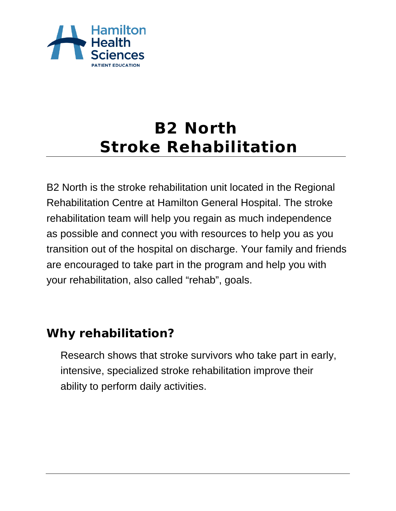

# **B2 North Stroke Rehabilitation**

B2 North is the stroke rehabilitation unit located in the Regional Rehabilitation Centre at Hamilton General Hospital. The stroke rehabilitation team will help you regain as much independence as possible and connect you with resources to help you as you transition out of the hospital on discharge. Your family and friends are encouraged to take part in the program and help you with your rehabilitation, also called "rehab", goals.

# **Why rehabilitation?**

Research shows that stroke survivors who take part in early, intensive, specialized stroke rehabilitation improve their ability to perform daily activities.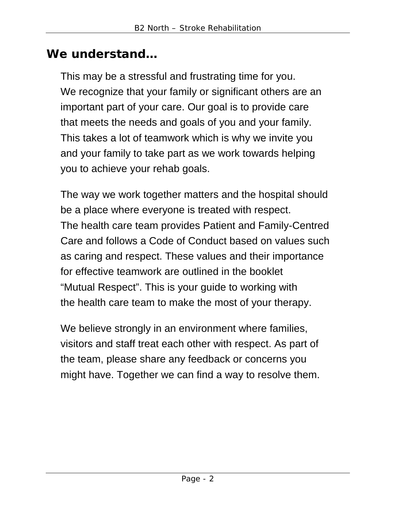### **We understand…**

This may be a stressful and frustrating time for you. We recognize that your family or significant others are an important part of your care. Our goal is to provide care that meets the needs and goals of you and your family. This takes a lot of teamwork which is why we invite you and your family to take part as we work towards helping you to achieve your rehab goals.

The way we work together matters and the hospital should be a place where everyone is treated with respect. The health care team provides Patient and Family-Centred Care and follows a Code of Conduct based on values such as caring and respect. These values and their importance for effective teamwork are outlined in the booklet "Mutual Respect". This is your guide to working with the health care team to make the most of your therapy.

We believe strongly in an environment where families, visitors and staff treat each other with respect. As part of the team, please share any feedback or concerns you might have. Together we can find a way to resolve them.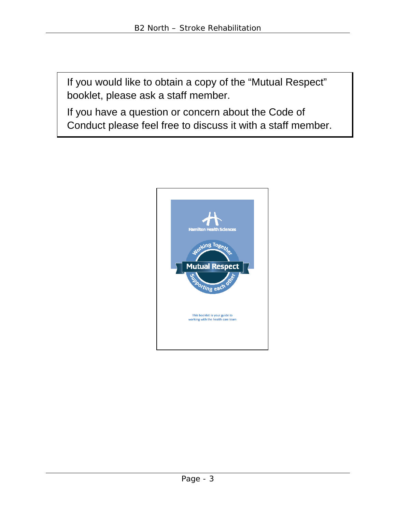If you would like to obtain a copy of the "Mutual Respect" booklet, please ask a staff member.

If you have a question or concern about the Code of Conduct please feel free to discuss it with a staff member.

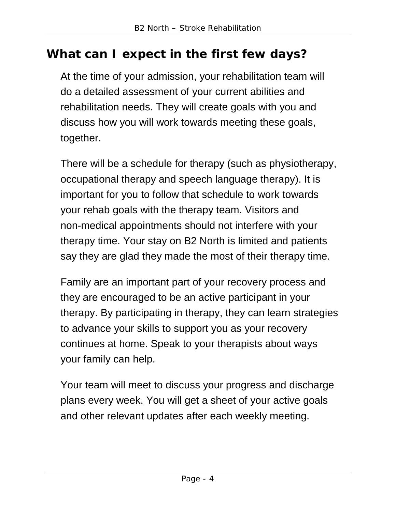# **What can I expect in the first few days?**

At the time of your admission, your rehabilitation team will do a detailed assessment of your current abilities and rehabilitation needs. They will create goals with you and discuss how you will work towards meeting these goals, together.

There will be a schedule for therapy (such as physiotherapy, occupational therapy and speech language therapy). It is important for you to follow that schedule to work towards your rehab goals with the therapy team. Visitors and non-medical appointments should not interfere with your therapy time. Your stay on B2 North is limited and patients say they are glad they made the most of their therapy time.

Family are an important part of your recovery process and they are encouraged to be an active participant in your therapy. By participating in therapy, they can learn strategies to advance your skills to support you as your recovery continues at home. Speak to your therapists about ways your family can help.

Your team will meet to discuss your progress and discharge plans every week. You will get a sheet of your active goals and other relevant updates after each weekly meeting.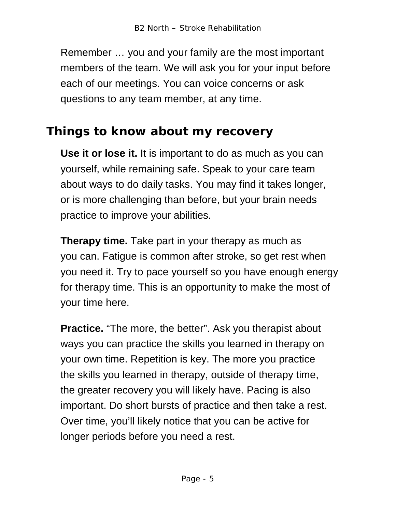Remember … you and your family are the most important members of the team. We will ask you for your input before each of our meetings. You can voice concerns or ask questions to any team member, at any time.

### **Things to know about my recovery**

**Use it or lose it.** It is important to do as much as you can yourself, while remaining safe. Speak to your care team about ways to do daily tasks. You may find it takes longer, or is more challenging than before, but your brain needs practice to improve your abilities.

**Therapy time.** Take part in your therapy as much as you can. Fatigue is common after stroke, so get rest when you need it. Try to pace yourself so you have enough energy for therapy time. This is an opportunity to make the most of your time here.

**Practice.** "The more, the better". Ask you therapist about ways you can practice the skills you learned in therapy on your own time. Repetition is key. The more you practice the skills you learned in therapy, outside of therapy time, the greater recovery you will likely have. Pacing is also important. Do short bursts of practice and then take a rest. Over time, you'll likely notice that you can be active for longer periods before you need a rest.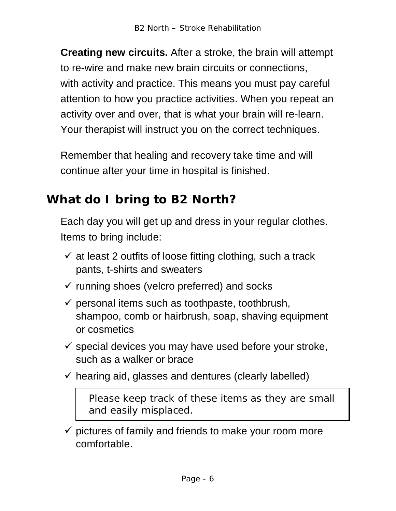**Creating new circuits.** After a stroke, the brain will attempt to re-wire and make new brain circuits or connections, with activity and practice. This means you must pay careful attention to how you practice activities. When you repeat an activity over and over, that is what your brain will re-learn. Your therapist will instruct you on the correct techniques.

Remember that healing and recovery take time and will continue after your time in hospital is finished.

# **What do I bring to B2 North?**

Each day you will get up and dress in your regular clothes. Items to bring include:

- $\checkmark$  at least 2 outfits of loose fitting clothing, such a track pants, t-shirts and sweaters
- $\checkmark$  running shoes (velcro preferred) and socks
- $\checkmark$  personal items such as toothpaste, toothbrush, shampoo, comb or hairbrush, soap, shaving equipment or cosmetics
- $\checkmark$  special devices you may have used before your stroke, such as a walker or brace
- $\checkmark$  hearing aid, glasses and dentures (clearly labelled)

Please keep track of these items as they are small and easily misplaced.

 $\checkmark$  pictures of family and friends to make your room more comfortable.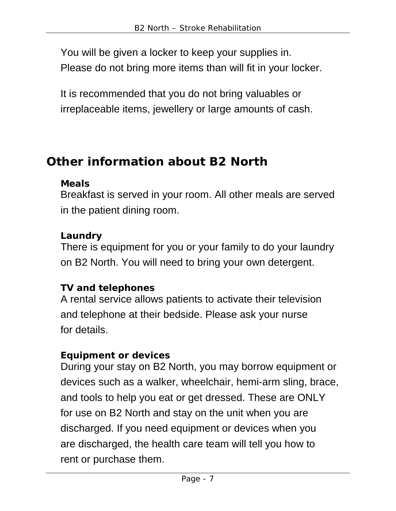You will be given a locker to keep your supplies in. Please do not bring more items than will fit in your locker.

It is recommended that you do not bring valuables or irreplaceable items, jewellery or large amounts of cash.

# **Other information about B2 North**

#### **Meals**

Breakfast is served in your room. All other meals are served in the patient dining room.

#### **Laundry**

There is equipment for you or your family to do your laundry on B2 North. You will need to bring your own detergent.

#### **TV and telephones**

A rental service allows patients to activate their television and telephone at their bedside. Please ask your nurse for details.

#### **Equipment or devices**

During your stay on B2 North, you may borrow equipment or devices such as a walker, wheelchair, hemi-arm sling, brace, and tools to help you eat or get dressed. These are ONLY for use on B2 North and stay on the unit when you are discharged. If you need equipment or devices when you are discharged, the health care team will tell you how to rent or purchase them.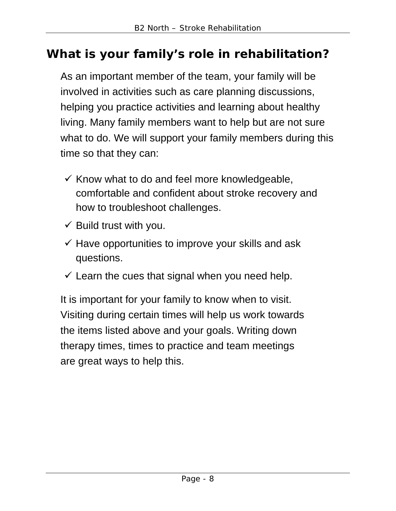# **What is your family's role in rehabilitation?**

As an important member of the team, your family will be involved in activities such as care planning discussions, helping you practice activities and learning about healthy living. Many family members want to help but are not sure what to do. We will support your family members during this time so that they can:

- $\checkmark$  Know what to do and feel more knowledgeable, comfortable and confident about stroke recovery and how to troubleshoot challenges.
- $\checkmark$  Build trust with you.
- $\checkmark$  Have opportunities to improve your skills and ask questions.
- $\checkmark$  Learn the cues that signal when you need help.

It is important for your family to know when to visit. Visiting during certain times will help us work towards the items listed above and your goals. Writing down therapy times, times to practice and team meetings are great ways to help this.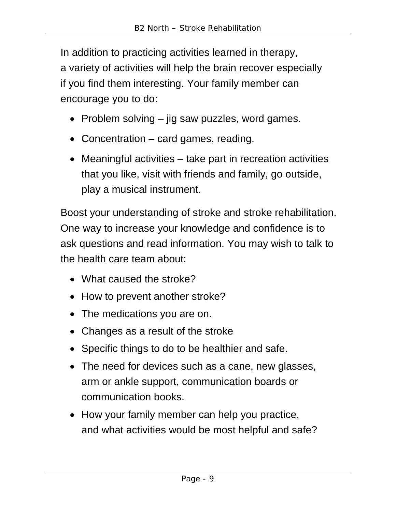In addition to practicing activities learned in therapy, a variety of activities will help the brain recover especially if you find them interesting. Your family member can encourage you to do:

- Problem solving jig saw puzzles, word games.
- Concentration card games, reading.
- Meaningful activities take part in recreation activities that you like, visit with friends and family, go outside, play a musical instrument.

Boost your understanding of stroke and stroke rehabilitation. One way to increase your knowledge and confidence is to ask questions and read information. You may wish to talk to the health care team about:

- What caused the stroke?
- How to prevent another stroke?
- The medications you are on.
- Changes as a result of the stroke
- Specific things to do to be healthier and safe.
- The need for devices such as a cane, new glasses, arm or ankle support, communication boards or communication books.
- How your family member can help you practice, and what activities would be most helpful and safe?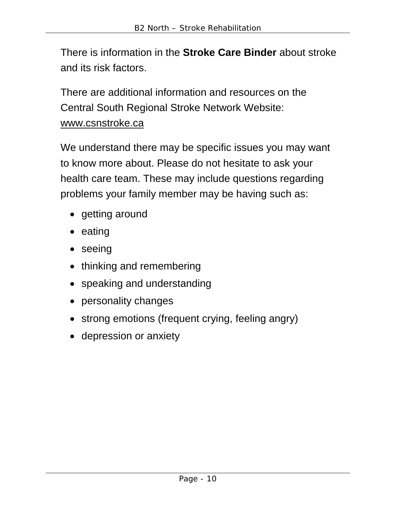There is information in the **Stroke Care Binder** about stroke and its risk factors.

There are additional information and resources on the Central South Regional Stroke Network Website: www.csnstroke.ca

We understand there may be specific issues you may want to know more about. Please do not hesitate to ask your health care team. These may include questions regarding problems your family member may be having such as:

- getting around
- eating
- seeing
- thinking and remembering
- speaking and understanding
- personality changes
- strong emotions (frequent crying, feeling angry)
- depression or anxiety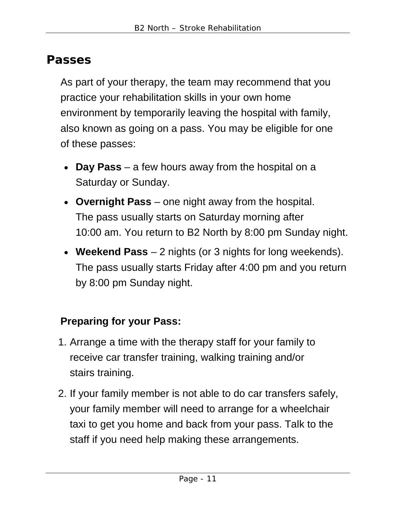### **Passes**

As part of your therapy, the team may recommend that you practice your rehabilitation skills in your own home environment by temporarily leaving the hospital with family, also known as going on a pass. You may be eligible for one of these passes:

- **Day Pass** a few hours away from the hospital on a Saturday or Sunday.
- **Overnight Pass** one night away from the hospital. The pass usually starts on Saturday morning after 10:00 am. You return to B2 North by 8:00 pm Sunday night.
- **Weekend Pass**  2 nights (or 3 nights for long weekends). The pass usually starts Friday after 4:00 pm and you return by 8:00 pm Sunday night.

### **Preparing for your Pass:**

- 1. Arrange a time with the therapy staff for your family to receive car transfer training, walking training and/or stairs training.
- 2. If your family member is not able to do car transfers safely, your family member will need to arrange for a wheelchair taxi to get you home and back from your pass. Talk to the staff if you need help making these arrangements.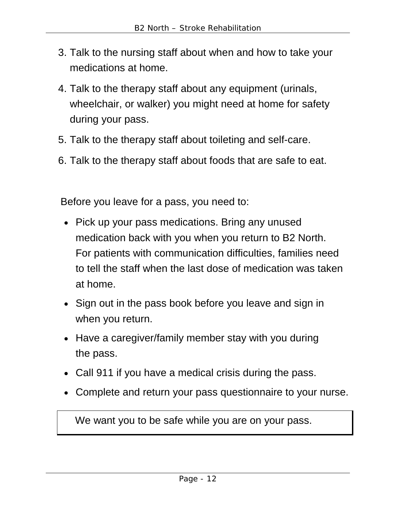- 3. Talk to the nursing staff about when and how to take your medications at home.
- 4. Talk to the therapy staff about any equipment (urinals, wheelchair, or walker) you might need at home for safety during your pass.
- 5. Talk to the therapy staff about toileting and self-care.
- 6. Talk to the therapy staff about foods that are safe to eat.

Before you leave for a pass, you need to:

- Pick up your pass medications. Bring any unused medication back with you when you return to B2 North. For patients with communication difficulties, families need to tell the staff when the last dose of medication was taken at home.
- Sign out in the pass book before you leave and sign in when you return.
- Have a caregiver/family member stay with you during the pass.
- Call 911 if you have a medical crisis during the pass.
- Complete and return your pass questionnaire to your nurse.

We want you to be safe while you are on your pass.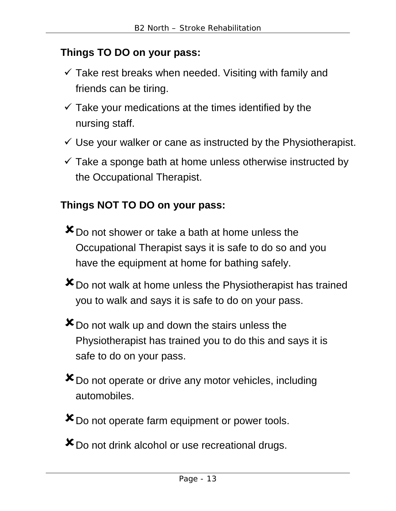#### **Things TO DO on your pass:**

- $\checkmark$  Take rest breaks when needed. Visiting with family and friends can be tiring.
- $\checkmark$  Take your medications at the times identified by the nursing staff.
- $\checkmark$  Use your walker or cane as instructed by the Physiotherapist.
- $\checkmark$  Take a sponge bath at home unless otherwise instructed by the Occupational Therapist.

### **Things NOT TO DO on your pass:**

- $\mathbf{x}_{\text{Do}}$  not shower or take a bath at home unless the Occupational Therapist says it is safe to do so and you have the equipment at home for bathing safely.
- **X** Do not walk at home unless the Physiotherapist has trained you to walk and says it is safe to do on your pass.
- $\mathbf{\times}$  Do not walk up and down the stairs unless the Physiotherapist has trained you to do this and says it is safe to do on your pass.
- Do not operate or drive any motor vehicles, including automobiles.
- **X** Do not operate farm equipment or power tools.
- **X** Do not drink alcohol or use recreational drugs.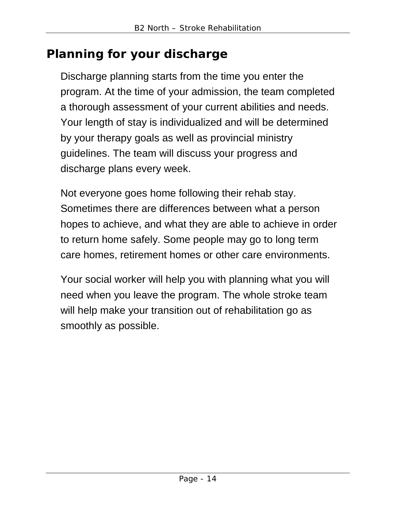# **Planning for your discharge**

Discharge planning starts from the time you enter the program. At the time of your admission, the team completed a thorough assessment of your current abilities and needs. Your length of stay is individualized and will be determined by your therapy goals as well as provincial ministry guidelines. The team will discuss your progress and discharge plans every week.

Not everyone goes home following their rehab stay. Sometimes there are differences between what a person hopes to achieve, and what they are able to achieve in order to return home safely. Some people may go to long term care homes, retirement homes or other care environments.

Your social worker will help you with planning what you will need when you leave the program. The whole stroke team will help make your transition out of rehabilitation go as smoothly as possible.